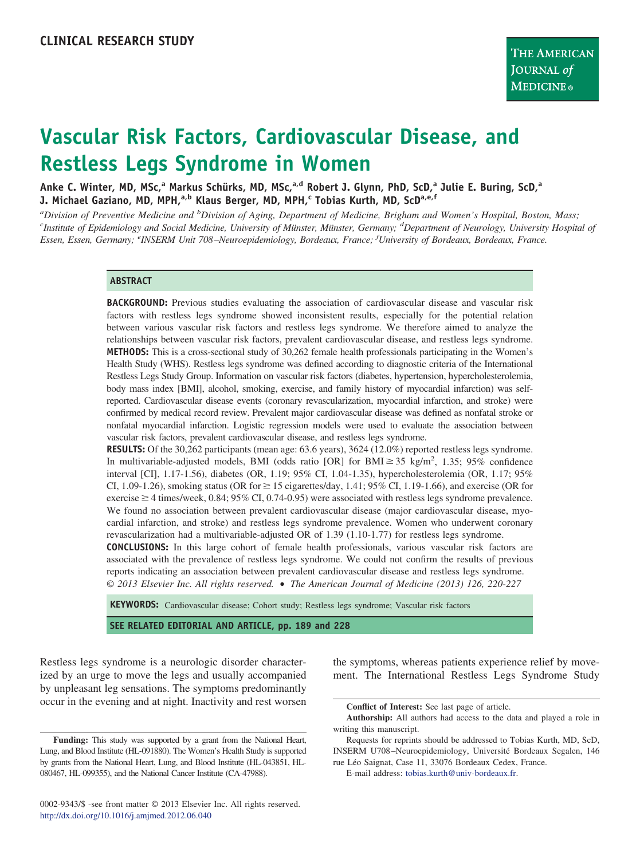# **Vascular Risk Factors, Cardiovascular Disease, and Restless Legs Syndrome in Women**

**Anke C. Winter, MD, MSc,<sup>a</sup> Markus Schürks, MD, MSc,a,d Robert J. Glynn, PhD, ScD,<sup>a</sup> Julie E. Buring, ScD,<sup>a</sup> J. Michael Gaziano, MD, MPH,a,b Klaus Berger, MD, MPH,<sup>c</sup> Tobias Kurth, MD, ScDa,e,f**

*a Division of Preventive Medicine and <sup>b</sup> Division of Aging, Department of Medicine, Brigham and Women's Hospital, Boston, Mass; <sup>c</sup> Institute of Epidemiology and Social Medicine, University of Münster, Münster, Germany; <sup>d</sup> Department of Neurology, University Hospital of Essen, Essen, Germany; <sup>e</sup> INSERM Unit 708 –Neuroepidemiology, Bordeaux, France; <sup>f</sup> University of Bordeaux, Bordeaux, France.*

#### **ABSTRACT**

**BACKGROUND:** Previous studies evaluating the association of cardiovascular disease and vascular risk factors with restless legs syndrome showed inconsistent results, especially for the potential relation between various vascular risk factors and restless legs syndrome. We therefore aimed to analyze the relationships between vascular risk factors, prevalent cardiovascular disease, and restless legs syndrome. **METHODS:** This is a cross-sectional study of 30,262 female health professionals participating in the Women's Health Study (WHS). Restless legs syndrome was defined according to diagnostic criteria of the International Restless Legs Study Group. Information on vascular risk factors (diabetes, hypertension, hypercholesterolemia, body mass index [BMI], alcohol, smoking, exercise, and family history of myocardial infarction) was selfreported. Cardiovascular disease events (coronary revascularization, myocardial infarction, and stroke) were confirmed by medical record review. Prevalent major cardiovascular disease was defined as nonfatal stroke or nonfatal myocardial infarction. Logistic regression models were used to evaluate the association between vascular risk factors, prevalent cardiovascular disease, and restless legs syndrome.

**RESULTS:** Of the 30,262 participants (mean age: 63.6 years), 3624 (12.0%) reported restless legs syndrome. In multivariable-adjusted models, BMI (odds ratio [OR] for BMI $\geq$  35 kg/m<sup>2</sup>, 1.35; 95% confidence interval [CI], 1.17-1.56), diabetes (OR, 1.19; 95% CI, 1.04-1.35), hypercholesterolemia (OR, 1.17; 95% CI, 1.09-1.26), smoking status (OR for  $\geq$  15 cigarettes/day, 1.41; 95% CI, 1.19-1.66), and exercise (OR for exercise  $\geq$  4 times/week, 0.84; 95% CI, 0.74-0.95) were associated with restless legs syndrome prevalence. We found no association between prevalent cardiovascular disease (major cardiovascular disease, myocardial infarction, and stroke) and restless legs syndrome prevalence. Women who underwent coronary revascularization had a multivariable-adjusted OR of 1.39 (1.10-1.77) for restless legs syndrome.

**CONCLUSIONS:** In this large cohort of female health professionals, various vascular risk factors are associated with the prevalence of restless legs syndrome. We could not confirm the results of previous reports indicating an association between prevalent cardiovascular disease and restless legs syndrome. *© 2013 Elsevier Inc. All rights reserved.* • *The American Journal of Medicine (2013) 126, 220-227*

**KEYWORDS:** Cardiovascular disease; Cohort study; Restless legs syndrome; Vascular risk factors

**SEE RELATED EDITORIAL AND ARTICLE, pp. 189 and 228**

Restless legs syndrome is a neurologic disorder characterized by an urge to move the legs and usually accompanied by unpleasant leg sensations. The symptoms predominantly occur in the evening and at night. Inactivity and rest worsen

the symptoms, whereas patients experience relief by movement. The International Restless Legs Syndrome Study

E-mail address: [tobias.kurth@univ-bordeaux.fr.](mailto:tobias.kurth@univ-bordeaux.fr)

**Funding:** This study was supported by a grant from the National Heart, Lung, and Blood Institute (HL-091880). The Women's Health Study is supported by grants from the National Heart, Lung, and Blood Institute (HL-043851, HL-080467, HL-099355), and the National Cancer Institute (CA-47988).

**Conflict of Interest:** See last page of article.

**Authorship:** All authors had access to the data and played a role in writing this manuscript.

Requests for reprints should be addressed to Tobias Kurth, MD, ScD, INSERM U708–Neuroepidemiology, Université Bordeaux Segalen, 146 rue Léo Saignat, Case 11, 33076 Bordeaux Cedex, France.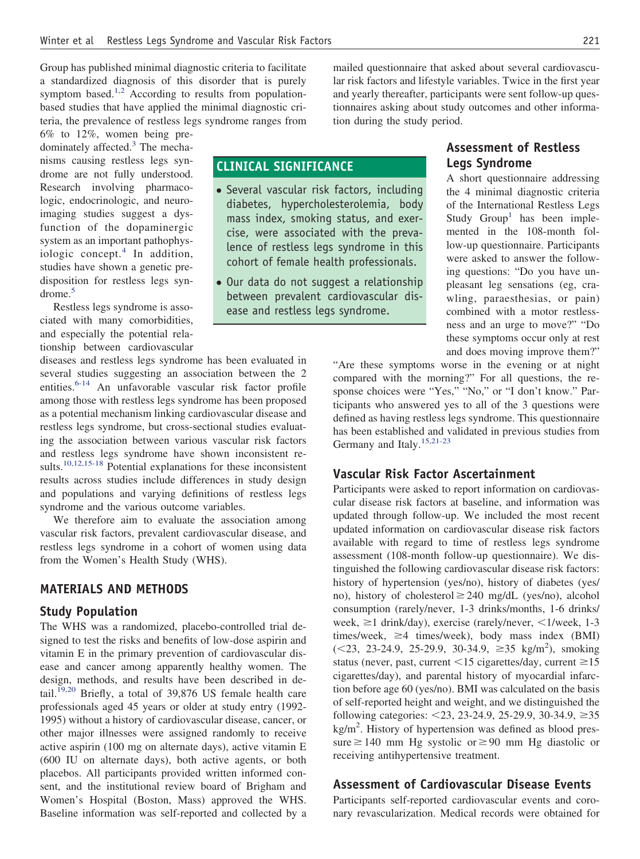Group has published minimal diagnostic criteria to facilitate a standardized diagnosis of this disorder that is purely symptom based.<sup>1,2</sup> According to results from populationbased studies that have applied the minimal diagnostic criteria, the prevalence of restless legs syndrome ranges from

6% to 12%, women being pre-dominately affected.<sup>[3](#page-6-1)</sup> The mechanisms causing restless legs syndrome are not fully understood. Research involving pharmacologic, endocrinologic, and neuroimaging studies suggest a dysfunction of the dopaminergic system as an important pathophysiologic concept. $4$  In addition, studies have shown a genetic predisposition for restless legs syndrome.[5](#page-6-3)

Restless legs syndrome is associated with many comorbidities, and especially the potential relationship between cardiovascular

diseases and restless legs syndrome has been evaluated in several studies suggesting an association between the 2 entities.<sup>[6-14](#page-6-4)</sup> An unfavorable vascular risk factor profile among those with restless legs syndrome has been proposed as a potential mechanism linking cardiovascular disease and restless legs syndrome, but cross-sectional studies evaluating the association between various vascular risk factors and restless legs syndrome have shown inconsistent results[.10,12,15-18](#page-6-5) Potential explanations for these inconsistent results across studies include differences in study design and populations and varying definitions of restless legs syndrome and the various outcome variables.

We therefore aim to evaluate the association among vascular risk factors, prevalent cardiovascular disease, and restless legs syndrome in a cohort of women using data from the Women's Health Study (WHS).

### **MATERIALS AND METHODS**

#### **Study Population**

The WHS was a randomized, placebo-controlled trial designed to test the risks and benefits of low-dose aspirin and vitamin E in the primary prevention of cardiovascular disease and cancer among apparently healthy women. The design, methods, and results have been described in de-tail.<sup>[19,20](#page-6-6)</sup> Briefly, a total of 39,876 US female health care professionals aged 45 years or older at study entry (1992- 1995) without a history of cardiovascular disease, cancer, or other major illnesses were assigned randomly to receive active aspirin (100 mg on alternate days), active vitamin E (600 IU on alternate days), both active agents, or both placebos. All participants provided written informed consent, and the institutional review board of Brigham and Women's Hospital (Boston, Mass) approved the WHS. Baseline information was self-reported and collected by a mailed questionnaire that asked about several cardiovascular risk factors and lifestyle variables. Twice in the first year and yearly thereafter, participants were sent follow-up questionnaires asking about study outcomes and other information during the study period.

## **CLINICAL SIGNIFICANCE**

- Several vascular risk factors, including diabetes, hypercholesterolemia, body mass index, smoking status, and exercise, were associated with the prevalence of restless legs syndrome in this cohort of female health professionals.
- Our data do not suggest a relationship between prevalent cardiovascular disease and restless legs syndrome.

## **Assessment of Restless Legs Syndrome**

A short questionnaire addressing the 4 minimal diagnostic criteria of the International Restless Legs Study  $Group<sup>1</sup>$  $Group<sup>1</sup>$  $Group<sup>1</sup>$  has been implemented in the 108-month follow-up questionnaire. Participants were asked to answer the following questions: "Do you have unpleasant leg sensations (eg, crawling, paraesthesias, or pain) combined with a motor restlessness and an urge to move?" "Do these symptoms occur only at rest and does moving improve them?"

"Are these symptoms worse in the evening or at night compared with the morning?" For all questions, the response choices were "Yes," "No," or "I don't know." Participants who answered yes to all of the 3 questions were defined as having restless legs syndrome. This questionnaire has been established and validated in previous studies from Germany and Italy.<sup>15,21-23</sup>

#### **Vascular Risk Factor Ascertainment**

Participants were asked to report information on cardiovascular disease risk factors at baseline, and information was updated through follow-up. We included the most recent updated information on cardiovascular disease risk factors available with regard to time of restless legs syndrome assessment (108-month follow-up questionnaire). We distinguished the following cardiovascular disease risk factors: history of hypertension (yes/no), history of diabetes (yes/ no), history of cholesterol  $\geq$  240 mg/dL (yes/no), alcohol consumption (rarely/never, 1-3 drinks/months, 1-6 drinks/ week,  $\geq$ 1 drink/day), exercise (rarely/never,  $\leq$ 1/week, 1-3 times/week,  $\geq 4$  times/week), body mass index (BMI)  $(<23, 23-24.9, 25-29.9, 30-34.9, \geq 35 \text{ kg/m}^2$ , smoking status (never, past, current  $\leq 15$  cigarettes/day, current  $\geq 15$ cigarettes/day), and parental history of myocardial infarction before age 60 (yes/no). BMI was calculated on the basis of self-reported height and weight, and we distinguished the following categories:  $\leq$ 23, 23-24.9, 25-29.9, 30-34.9,  $\geq$ 35 kg/m<sup>2</sup>. History of hypertension was defined as blood pressure  $\geq$  140 mm Hg systolic or  $\geq$  90 mm Hg diastolic or receiving antihypertensive treatment.

## **Assessment of Cardiovascular Disease Events**

Participants self-reported cardiovascular events and coronary revascularization. Medical records were obtained for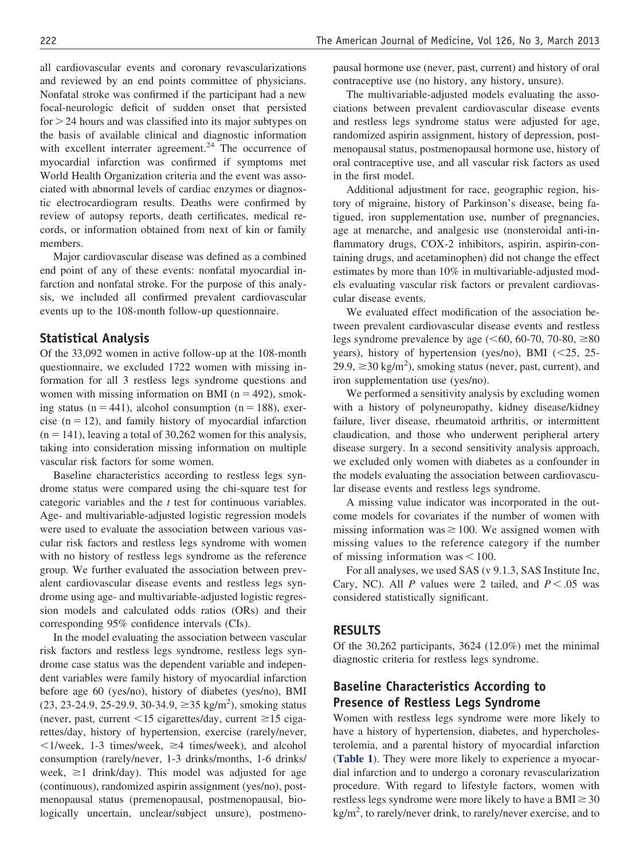all cardiovascular events and coronary revascularizations and reviewed by an end points committee of physicians. Nonfatal stroke was confirmed if the participant had a new focal-neurologic deficit of sudden onset that persisted for > 24 hours and was classified into its major subtypes on the basis of available clinical and diagnostic information with excellent interrater agreement. $24$  The occurrence of myocardial infarction was confirmed if symptoms met World Health Organization criteria and the event was associated with abnormal levels of cardiac enzymes or diagnostic electrocardiogram results. Deaths were confirmed by review of autopsy reports, death certificates, medical records, or information obtained from next of kin or family members.

Major cardiovascular disease was defined as a combined end point of any of these events: nonfatal myocardial infarction and nonfatal stroke. For the purpose of this analysis, we included all confirmed prevalent cardiovascular events up to the 108-month follow-up questionnaire.

#### **Statistical Analysis**

Of the 33,092 women in active follow-up at the 108-month questionnaire, we excluded 1722 women with missing information for all 3 restless legs syndrome questions and women with missing information on BMI ( $n = 492$ ), smoking status (n = 441), alcohol consumption (n = 188), exercise  $(n = 12)$ , and family history of myocardial infarction  $(n = 141)$ , leaving a total of 30,262 women for this analysis, taking into consideration missing information on multiple vascular risk factors for some women.

Baseline characteristics according to restless legs syndrome status were compared using the chi-square test for categoric variables and the *t* test for continuous variables. Age- and multivariable-adjusted logistic regression models were used to evaluate the association between various vascular risk factors and restless legs syndrome with women with no history of restless legs syndrome as the reference group. We further evaluated the association between prevalent cardiovascular disease events and restless legs syndrome using age- and multivariable-adjusted logistic regression models and calculated odds ratios (ORs) and their corresponding 95% confidence intervals (CIs).

In the model evaluating the association between vascular risk factors and restless legs syndrome, restless legs syndrome case status was the dependent variable and independent variables were family history of myocardial infarction before age 60 (yes/no), history of diabetes (yes/no), BMI  $(23, 23-24.9, 25-29.9, 30-34.9, \geq 35 \text{ kg/m}^2)$ , smoking status (never, past, current  $\leq 15$  cigarettes/day, current  $\geq 15$  cigarettes/day, history of hypertension, exercise (rarely/never,  $1$ /week, 1-3 times/week,  $\geq 4$  times/week), and alcohol consumption (rarely/never, 1-3 drinks/months, 1-6 drinks/ week,  $\geq$ 1 drink/day). This model was adjusted for age (continuous), randomized aspirin assignment (yes/no), postmenopausal status (premenopausal, postmenopausal, biologically uncertain, unclear/subject unsure), postmenopausal hormone use (never, past, current) and history of oral contraceptive use (no history, any history, unsure).

The multivariable-adjusted models evaluating the associations between prevalent cardiovascular disease events and restless legs syndrome status were adjusted for age, randomized aspirin assignment, history of depression, postmenopausal status, postmenopausal hormone use, history of oral contraceptive use, and all vascular risk factors as used in the first model.

Additional adjustment for race, geographic region, history of migraine, history of Parkinson's disease, being fatigued, iron supplementation use, number of pregnancies, age at menarche, and analgesic use (nonsteroidal anti-inflammatory drugs, COX-2 inhibitors, aspirin, aspirin-containing drugs, and acetaminophen) did not change the effect estimates by more than 10% in multivariable-adjusted models evaluating vascular risk factors or prevalent cardiovascular disease events.

We evaluated effect modification of the association between prevalent cardiovascular disease events and restless legs syndrome prevalence by age ( $\leq 60$ , 60-70, 70-80,  $\geq 80$ years), history of hypertension (yes/no), BMI (<25, 25- $29.9$ ,  $\geq$  30 kg/m<sup>2</sup>), smoking status (never, past, current), and iron supplementation use (yes/no).

We performed a sensitivity analysis by excluding women with a history of polyneuropathy, kidney disease/kidney failure, liver disease, rheumatoid arthritis, or intermittent claudication, and those who underwent peripheral artery disease surgery. In a second sensitivity analysis approach, we excluded only women with diabetes as a confounder in the models evaluating the association between cardiovascular disease events and restless legs syndrome.

A missing value indicator was incorporated in the outcome models for covariates if the number of women with missing information was  $\geq 100$ . We assigned women with missing values to the reference category if the number of missing information was  $\leq 100$ .

For all analyses, we used SAS (v 9.1.3, SAS Institute Inc, Cary, NC). All *P* values were 2 tailed, and  $P < .05$  was considered statistically significant.

#### **RESULTS**

Of the 30,262 participants, 3624 (12.0%) met the minimal diagnostic criteria for restless legs syndrome.

## **Baseline Characteristics According to Presence of Restless Legs Syndrome**

Women with restless legs syndrome were more likely to have a history of hypertension, diabetes, and hypercholesterolemia, and a parental history of myocardial infarction (**[Table 1](#page-3-0)**). They were more likely to experience a myocardial infarction and to undergo a coronary revascularization procedure. With regard to lifestyle factors, women with restless legs syndrome were more likely to have a  $\text{BMI} \geq 30$  $\text{kg/m}^2$ , to rarely/never drink, to rarely/never exercise, and to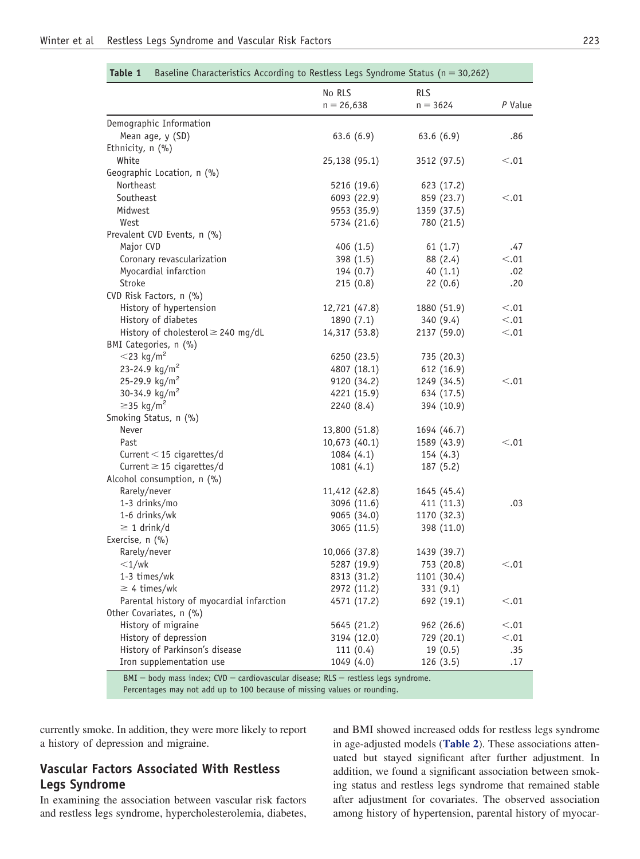|                                           | No RLS        | <b>RLS</b>  |           |  |
|-------------------------------------------|---------------|-------------|-----------|--|
|                                           | $n = 26,638$  | $n = 3624$  | $P$ Value |  |
| Demographic Information                   |               |             |           |  |
| Mean age, y (SD)                          | 63.6(6.9)     | 63.6(6.9)   | .86       |  |
| Ethnicity, n (%)                          |               |             |           |  |
| White                                     | 25,138 (95.1) | 3512 (97.5) | < 0.01    |  |
| Geographic Location, n (%)                |               |             |           |  |
| Northeast                                 | 5216 (19.6)   | 623 (17.2)  |           |  |
| Southeast                                 | 6093 (22.9)   | 859 (23.7)  | < 0.01    |  |
| Midwest                                   | 9553 (35.9)   | 1359 (37.5) |           |  |
| West                                      | 5734 (21.6)   | 780 (21.5)  |           |  |
| Prevalent CVD Events, n (%)               |               |             |           |  |
| Major CVD                                 | 406(1.5)      | 61(1.7)     | .47       |  |
| Coronary revascularization                | 398(1.5)      | 88 (2.4)    | < 0.01    |  |
| Myocardial infarction                     | 194(0.7)      | 40(1.1)     | .02       |  |
| Stroke                                    | 215(0.8)      | 22(0.6)     | .20       |  |
| CVD Risk Factors, n (%)                   |               |             |           |  |
| History of hypertension                   | 12,721 (47.8) | 1880 (51.9) | < 0.01    |  |
| History of diabetes                       | 1890 (7.1)    | 340 (9.4)   | < 0.01    |  |
| History of cholesterol $\geq$ 240 mg/dL   | 14,317 (53.8) | 2137 (59.0) | < 0.01    |  |
| BMI Categories, n (%)                     |               |             |           |  |
| $<$ 23 kg/m <sup>2</sup>                  | 6250 (23.5)   | 735 (20.3)  |           |  |
| 23-24.9 $\text{kg/m}^2$                   | 4807 (18.1)   | 612(16.9)   |           |  |
| 25-29.9 kg/m <sup>2</sup>                 | 9120 (34.2)   | 1249 (34.5) | < 0.01    |  |
| 30-34.9 kg/m <sup>2</sup>                 | 4221 (15.9)   | 634 (17.5)  |           |  |
| $\geq$ 35 kg/m <sup>2</sup>               | 2240 (8.4)    | 394 (10.9)  |           |  |
| Smoking Status, n (%)                     |               |             |           |  |
| Never                                     | 13,800 (51.8) | 1694 (46.7) |           |  |
| Past                                      | 10,673(40.1)  | 1589 (43.9) | < 0.01    |  |
| Current $<$ 15 cigarettes/d               | 1084(4.1)     | 154(4.3)    |           |  |
| Current $\geq$ 15 cigarettes/d            | 1081(4.1)     | 187(5.2)    |           |  |
| Alcohol consumption, n (%)                |               |             |           |  |
| Rarely/never                              | 11,412 (42.8) | 1645 (45.4) |           |  |
| 1-3 drinks/mo                             | 3096 (11.6)   | 411 (11.3)  | .03       |  |
| 1-6 drinks/wk                             | 9065(34.0)    | 1170 (32.3) |           |  |
| $\geq 1$ drink/d                          | 3065 (11.5)   | 398 (11.0)  |           |  |
| Exercise, n (%)                           |               |             |           |  |
| Rarely/never                              | 10,066 (37.8) | 1439 (39.7) |           |  |
| $<$ 1/wk                                  | 5287 (19.9)   | 753 (20.8)  | < 0.01    |  |
| 1-3 times/wk                              | 8313 (31.2)   | 1101 (30.4) |           |  |
| $\geq$ 4 times/wk                         | 2972 (11.2)   | 331(9.1)    |           |  |
| Parental history of myocardial infarction | 4571 (17.2)   | 692 (19.1)  | < .01     |  |
| Other Covariates, n (%)                   |               |             |           |  |
| History of migraine                       | 5645 (21.2)   | 962 (26.6)  | < 0.01    |  |
| History of depression                     | 3194 (12.0)   | 729 (20.1)  | < 0.01    |  |
| History of Parkinson's disease            | 111(0.4)      | 19(0.5)     | .35       |  |
| Iron supplementation use                  | 1049 (4.0)    | 126 (3.5)   | .17       |  |

<span id="page-3-0"></span>**Table 1** Baseline Characteristics According to Restless Legs Syndrome Status ( $n = 30,262$ )

 $BMI = body$  mass index;  $CVD =$  cardiovascular disease;  $RLS =$  restless legs syndrome. Percentages may not add up to 100 because of missing values or rounding.

currently smoke. In addition, they were more likely to report a history of depression and migraine.

## **Vascular Factors Associated With Restless Legs Syndrome**

In examining the association between vascular risk factors and restless legs syndrome, hypercholesterolemia, diabetes, and BMI showed increased odds for restless legs syndrome in age-adjusted models (**[Table 2](#page-4-0)**). These associations attenuated but stayed significant after further adjustment. In addition, we found a significant association between smoking status and restless legs syndrome that remained stable after adjustment for covariates. The observed association among history of hypertension, parental history of myocar-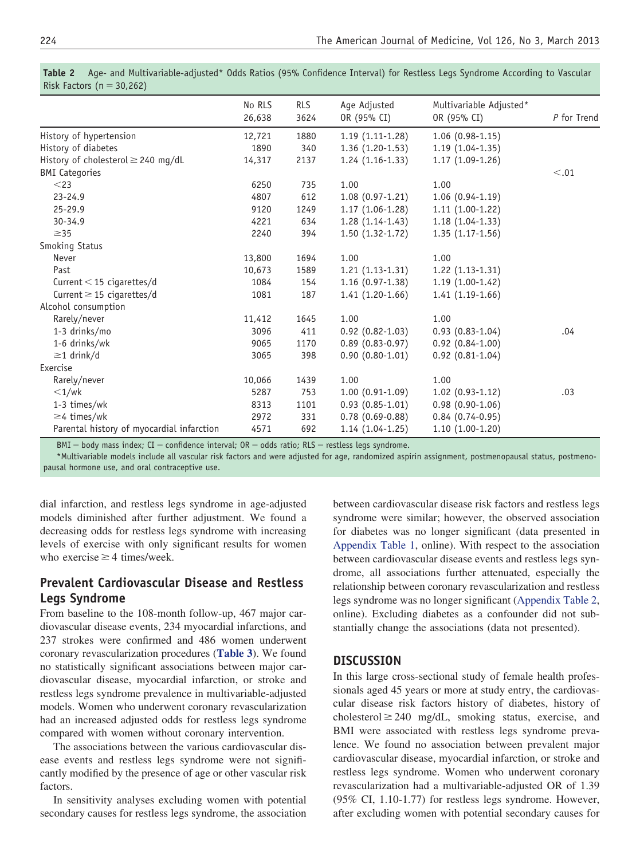| No RLS<br>26,638 | <b>RLS</b><br>3624 | Age Adjusted<br>OR (95% CI) | Multivariable Adjusted*<br>OR (95% CI) | P for Trend                            |
|------------------|--------------------|-----------------------------|----------------------------------------|----------------------------------------|
| 12,721           | 1880               | $1.19(1.11-1.28)$           | $1.06(0.98-1.15)$                      |                                        |
| 1890             | 340                | $1.36(1.20-1.53)$           | $1.19(1.04-1.35)$                      |                                        |
| 14,317           | 2137               | $1.24(1.16-1.33)$           | $1.17(1.09-1.26)$                      |                                        |
|                  |                    |                             |                                        | < 0.01                                 |
| 6250             | 735                | 1.00                        | 1.00                                   |                                        |
| 4807             | 612                | $1.08(0.97-1.21)$           | $1.06(0.94-1.19)$                      |                                        |
| 9120             | 1249               | $1.17(1.06-1.28)$           | $1.11(1.00-1.22)$                      |                                        |
| 4221             | 634                | $1.28(1.14-1.43)$           | $1.18(1.04-1.33)$                      |                                        |
| 2240             | 394                | $1.50(1.32-1.72)$           | $1.35(1.17-1.56)$                      |                                        |
|                  |                    |                             |                                        |                                        |
| 13,800           | 1694               | 1.00                        | 1.00                                   |                                        |
| 10,673           | 1589               | $1.21(1.13-1.31)$           | $1.22(1.13-1.31)$                      |                                        |
| 1084             | 154                | $1.16(0.97-1.38)$           | $1.19(1.00-1.42)$                      |                                        |
| 1081             | 187                | $1.41(1.20-1.66)$           | $1.41(1.19-1.66)$                      |                                        |
|                  |                    |                             |                                        |                                        |
| 11,412           | 1645               | 1.00                        | 1.00                                   |                                        |
| 3096             | 411                | $0.92(0.82-1.03)$           | $0.93(0.83-1.04)$                      | .04                                    |
| 9065             | 1170               | $0.89(0.83 - 0.97)$         | $0.92(0.84-1.00)$                      |                                        |
| 3065             | 398                | $0.90(0.80-1.01)$           | $0.92(0.81-1.04)$                      |                                        |
|                  |                    |                             |                                        |                                        |
| 10,066           | 1439               | 1.00                        | 1.00                                   |                                        |
| 5287             | 753                |                             |                                        | .03                                    |
| 8313             | 1101               |                             |                                        |                                        |
| 2972             | 331                | $0.78(0.69-0.88)$           | $0.84(0.74-0.95)$                      |                                        |
| 4571             | 692                | $1.14(1.04-1.25)$           | $1.10(1.00-1.20)$                      |                                        |
|                  |                    |                             | $1.00(0.91-1.09)$<br>$0.93(0.85-1.01)$ | $1.02(0.93-1.12)$<br>$0.98(0.90-1.06)$ |

<span id="page-4-0"></span>**Table 2** Age- and Multivariable-adjusted\* Odds Ratios (95% Confidence Interval) for Restless Legs Syndrome According to Vascular Risk Factors ( $n = 30,262$ )

 $BMI = body$  mass index;  $CI = confidence$  interval;  $OR = odds$  ratio;  $RLS = restless$  legs syndrome.

\*Multivariable models include all vascular risk factors and were adjusted for age, randomized aspirin assignment, postmenopausal status, postmenopausal hormone use, and oral contraceptive use.

dial infarction, and restless legs syndrome in age-adjusted models diminished after further adjustment. We found a decreasing odds for restless legs syndrome with increasing levels of exercise with only significant results for women who exercise  $\geq$  4 times/week.

## **Prevalent Cardiovascular Disease and Restless Legs Syndrome**

From baseline to the 108-month follow-up, 467 major cardiovascular disease events, 234 myocardial infarctions, and 237 strokes were confirmed and 486 women underwent coronary revascularization procedures (**[Table 3](#page-5-0)**). We found no statistically significant associations between major cardiovascular disease, myocardial infarction, or stroke and restless legs syndrome prevalence in multivariable-adjusted models. Women who underwent coronary revascularization had an increased adjusted odds for restless legs syndrome compared with women without coronary intervention.

The associations between the various cardiovascular disease events and restless legs syndrome were not significantly modified by the presence of age or other vascular risk factors.

In sensitivity analyses excluding women with potential secondary causes for restless legs syndrome, the association

between cardiovascular disease risk factors and restless legs syndrome were similar; however, the observed association for diabetes was no longer significant (data presented in [Appendix Table 1,](#page-8-0) online). With respect to the association between cardiovascular disease events and restless legs syndrome, all associations further attenuated, especially the relationship between coronary revascularization and restless legs syndrome was no longer significant [\(Appendix Table 2,](#page-9-0) online). Excluding diabetes as a confounder did not substantially change the associations (data not presented).

#### **DISCUSSION**

In this large cross-sectional study of female health professionals aged 45 years or more at study entry, the cardiovascular disease risk factors history of diabetes, history of cholesterol  $\geq$  240 mg/dL, smoking status, exercise, and BMI were associated with restless legs syndrome prevalence. We found no association between prevalent major cardiovascular disease, myocardial infarction, or stroke and restless legs syndrome. Women who underwent coronary revascularization had a multivariable-adjusted OR of 1.39 (95% CI, 1.10-1.77) for restless legs syndrome. However, after excluding women with potential secondary causes for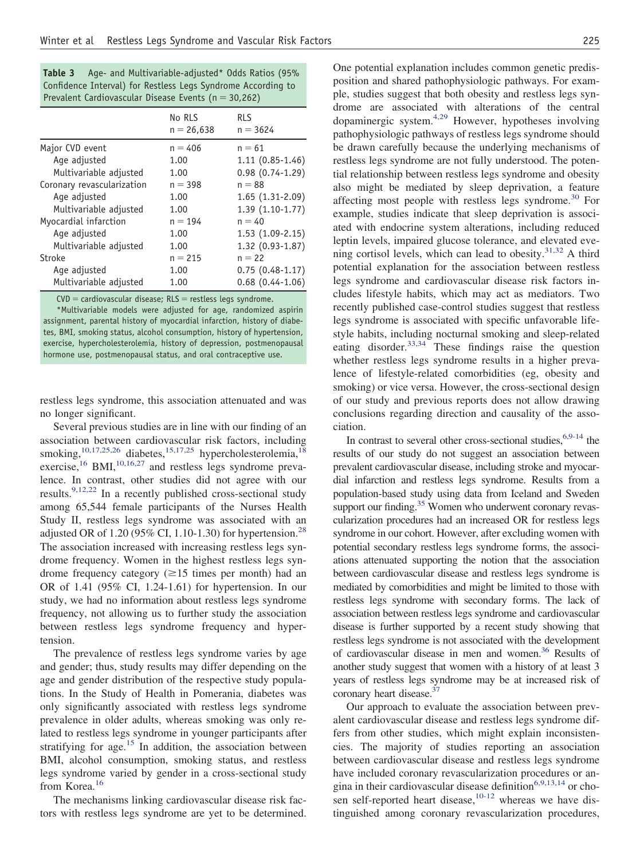<span id="page-5-0"></span>

| Table 3 | Age- and Multivariable-adjusted* Odds Ratios (95%            |  |  |
|---------|--------------------------------------------------------------|--|--|
|         | Confidence Interval) for Restless Legs Syndrome According to |  |  |
|         | Prevalent Cardiovascular Disease Events ( $n = 30,262$ )     |  |  |

|                            | No RLS<br>$n = 26,638$ | <b>RLS</b><br>$n = 3624$ |
|----------------------------|------------------------|--------------------------|
| Major CVD event            | $n = 406$              | $n = 61$                 |
| Age adjusted               | 1.00                   | $1.11(0.85-1.46)$        |
| Multivariable adjusted     | 1.00                   | $0.98(0.74-1.29)$        |
| Coronary revascularization | $n = 398$              | $n = 88$                 |
| Age adjusted               | 1.00                   | 1.65 (1.31-2.09)         |
| Multivariable adjusted     | 1.00                   | 1.39 (1.10-1.77)         |
| Myocardial infarction      | $n = 194$              | $n = 40$                 |
| Age adjusted               | 1.00                   | 1.53 (1.09-2.15)         |
| Multivariable adjusted     | 1.00                   | $1.32(0.93-1.87)$        |
| Stroke                     | $n = 215$              | $n = 22$                 |
| Age adjusted               | 1.00                   | $0.75(0.48-1.17)$        |
| Multivariable adjusted     | 1.00                   | $0.68$ $(0.44 - 1.06)$   |

 $CVD =$  cardiovascular disease; RLS = restless legs syndrome. \*Multivariable models were adjusted for age, randomized aspirin assignment, parental history of myocardial infarction, history of diabetes, BMI, smoking status, alcohol consumption, history of hypertension, exercise, hypercholesterolemia, history of depression, postmenopausal hormone use, postmenopausal status, and oral contraceptive use.

restless legs syndrome, this association attenuated and was no longer significant.

Several previous studies are in line with our finding of an association between cardiovascular risk factors, including smoking,<sup>[10,17,25,26](#page-6-5)</sup> diabetes,<sup>[15,17,25](#page-6-7)</sup> hypercholesterolemia,<sup>[18](#page-6-8)</sup> exercise,<sup>[16](#page-6-9)</sup> BMI,<sup>[10,16,27](#page-6-5)</sup> and restless legs syndrome prevalence. In contrast, other studies did not agree with our results.<sup>9,12,22</sup> In a recently published cross-sectional study among 65,544 female participants of the Nurses Health Study II, restless legs syndrome was associated with an adjusted OR of 1.20 (95% CI, 1.10-1.30) for hypertension.<sup>28</sup> The association increased with increasing restless legs syndrome frequency. Women in the highest restless legs syndrome frequency category  $(\geq 15$  times per month) had an OR of 1.41 (95% CI, 1.24-1.61) for hypertension. In our study, we had no information about restless legs syndrome frequency, not allowing us to further study the association between restless legs syndrome frequency and hypertension.

The prevalence of restless legs syndrome varies by age and gender; thus, study results may differ depending on the age and gender distribution of the respective study populations. In the Study of Health in Pomerania, diabetes was only significantly associated with restless legs syndrome prevalence in older adults, whereas smoking was only related to restless legs syndrome in younger participants after stratifying for age.<sup>15</sup> In addition, the association between BMI, alcohol consumption, smoking status, and restless legs syndrome varied by gender in a cross-sectional study from Korea.<sup>[16](#page-6-9)</sup>

The mechanisms linking cardiovascular disease risk factors with restless legs syndrome are yet to be determined. position and shared pathophysiologic pathways. For example, studies suggest that both obesity and restless legs syndrome are associated with alterations of the central dopaminergic system[.4,29](#page-6-2) However, hypotheses involving pathophysiologic pathways of restless legs syndrome should be drawn carefully because the underlying mechanisms of restless legs syndrome are not fully understood. The potential relationship between restless legs syndrome and obesity also might be mediated by sleep deprivation, a feature affecting most people with restless legs syndrome. $30$  For example, studies indicate that sleep deprivation is associated with endocrine system alterations, including reduced leptin levels, impaired glucose tolerance, and elevated evening cortisol levels, which can lead to obesity. $31,32$  A third potential explanation for the association between restless legs syndrome and cardiovascular disease risk factors includes lifestyle habits, which may act as mediators. Two recently published case-control studies suggest that restless legs syndrome is associated with specific unfavorable lifestyle habits, including nocturnal smoking and sleep-related eating disorder.  $33,34$  These findings raise the question whether restless legs syndrome results in a higher prevalence of lifestyle-related comorbidities (eg, obesity and smoking) or vice versa. However, the cross-sectional design of our study and previous reports does not allow drawing conclusions regarding direction and causality of the association.

In contrast to several other cross-sectional studies,  $6,9-14$  the results of our study do not suggest an association between prevalent cardiovascular disease, including stroke and myocardial infarction and restless legs syndrome. Results from a population-based study using data from Iceland and Sweden support our finding.<sup>35</sup> Women who underwent coronary revascularization procedures had an increased OR for restless legs syndrome in our cohort. However, after excluding women with potential secondary restless legs syndrome forms, the associations attenuated supporting the notion that the association between cardiovascular disease and restless legs syndrome is mediated by comorbidities and might be limited to those with restless legs syndrome with secondary forms. The lack of association between restless legs syndrome and cardiovascular disease is further supported by a recent study showing that restless legs syndrome is not associated with the development of cardiovascular disease in men and women.<sup>36</sup> Results of another study suggest that women with a history of at least 3 years of restless legs syndrome may be at increased risk of coronary heart disease.<sup>37</sup>

Our approach to evaluate the association between prevalent cardiovascular disease and restless legs syndrome differs from other studies, which might explain inconsistencies. The majority of studies reporting an association between cardiovascular disease and restless legs syndrome have included coronary revascularization procedures or an-gina in their cardiovascular disease definition<sup>[6,9,13,14](#page-6-4)</sup> or chosen self-reported heart disease, $10-12$  whereas we have distinguished among coronary revascularization procedures,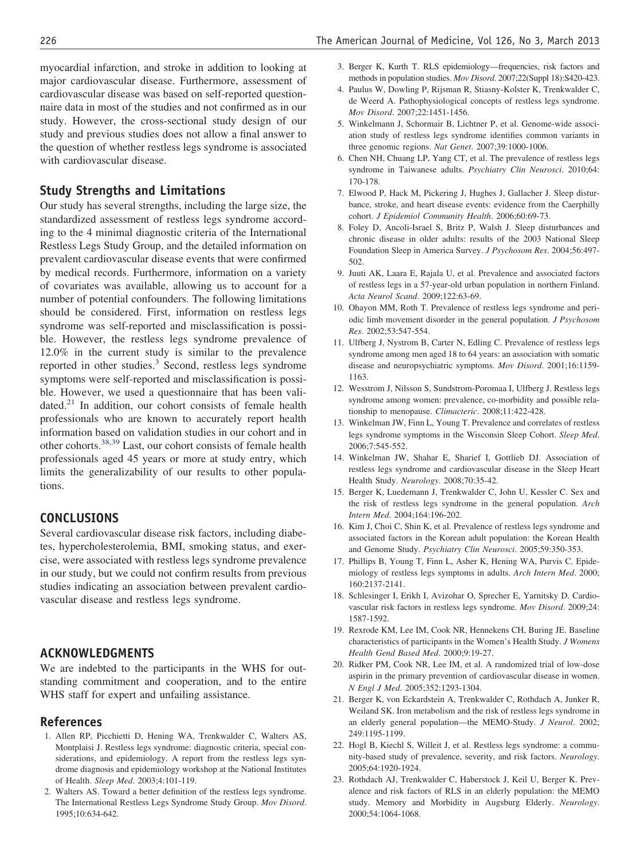myocardial infarction, and stroke in addition to looking at major cardiovascular disease. Furthermore, assessment of cardiovascular disease was based on self-reported questionnaire data in most of the studies and not confirmed as in our study. However, the cross-sectional study design of our study and previous studies does not allow a final answer to the question of whether restless legs syndrome is associated with cardiovascular disease.

## **Study Strengths and Limitations**

Our study has several strengths, including the large size, the standardized assessment of restless legs syndrome according to the 4 minimal diagnostic criteria of the International Restless Legs Study Group, and the detailed information on prevalent cardiovascular disease events that were confirmed by medical records. Furthermore, information on a variety of covariates was available, allowing us to account for a number of potential confounders. The following limitations should be considered. First, information on restless legs syndrome was self-reported and misclassification is possible. However, the restless legs syndrome prevalence of 12.0% in the current study is similar to the prevalence reported in other studies.<sup>3</sup> Second, restless legs syndrome symptoms were self-reported and misclassification is possible. However, we used a questionnaire that has been validated. $2<sup>1</sup>$  In addition, our cohort consists of female health professionals who are known to accurately report health information based on validation studies in our cohort and in other cohorts.[38,39](#page-7-8) Last, our cohort consists of female health professionals aged 45 years or more at study entry, which limits the generalizability of our results to other populations.

#### **CONCLUSIONS**

Several cardiovascular disease risk factors, including diabetes, hypercholesterolemia, BMI, smoking status, and exercise, were associated with restless legs syndrome prevalence in our study, but we could not confirm results from previous studies indicating an association between prevalent cardiovascular disease and restless legs syndrome.

#### **ACKNOWLEDGMENTS**

We are indebted to the participants in the WHS for outstanding commitment and cooperation, and to the entire WHS staff for expert and unfailing assistance.

#### <span id="page-6-0"></span>**References**

- 1. Allen RP, Picchietti D, Hening WA, Trenkwalder C, Walters AS, Montplaisi J. Restless legs syndrome: diagnostic criteria, special considerations, and epidemiology. A report from the restless legs syndrome diagnosis and epidemiology workshop at the National Institutes of Health. *Sleep Med*. 2003;4:101-119.
- 2. Walters AS. Toward a better definition of the restless legs syndrome. The International Restless Legs Syndrome Study Group. *Mov Disord*. 1995;10:634-642.
- <span id="page-6-1"></span>3. Berger K, Kurth T. RLS epidemiology—frequencies, risk factors and methods in population studies. *Mov Disord*. 2007;22(Suppl 18):S420-423.
- <span id="page-6-2"></span>4. Paulus W, Dowling P, Rijsman R, Stiasny-Kolster K, Trenkwalder C, de Weerd A. Pathophysiological concepts of restless legs syndrome. *Mov Disord*. 2007;22:1451-1456.
- <span id="page-6-3"></span>5. Winkelmann J, Schormair B, Lichtner P, et al. Genome-wide association study of restless legs syndrome identifies common variants in three genomic regions. *Nat Genet*. 2007;39:1000-1006.
- <span id="page-6-4"></span>6. Chen NH, Chuang LP, Yang CT, et al. The prevalence of restless legs syndrome in Taiwanese adults. *Psychiatry Clin Neurosci*. 2010;64: 170-178.
- 7. Elwood P, Hack M, Pickering J, Hughes J, Gallacher J. Sleep disturbance, stroke, and heart disease events: evidence from the Caerphilly cohort. *J Epidemiol Community Health*. 2006;60:69-73.
- 8. Foley D, Ancoli-Israel S, Britz P, Walsh J. Sleep disturbances and chronic disease in older adults: results of the 2003 National Sleep Foundation Sleep in America Survey. *J Psychosom Res*. 2004;56:497- 502.
- <span id="page-6-10"></span>9. Juuti AK, Laara E, Rajala U, et al. Prevalence and associated factors of restless legs in a 57-year-old urban population in northern Finland. *Acta Neurol Scand*. 2009;122:63-69.
- <span id="page-6-5"></span>10. Ohayon MM, Roth T. Prevalence of restless legs syndrome and periodic limb movement disorder in the general population. *J Psychosom Res*. 2002;53:547-554.
- 11. Ulfberg J, Nystrom B, Carter N, Edling C. Prevalence of restless legs syndrome among men aged 18 to 64 years: an association with somatic disease and neuropsychiatric symptoms. *Mov Disord*. 2001;16:1159- 1163.
- 12. Wesstrom J, Nilsson S, Sundstrom-Poromaa I, Ulfberg J. Restless legs syndrome among women: prevalence, co-morbidity and possible relationship to menopause. *Climacteric*. 2008;11:422-428.
- 13. Winkelman JW, Finn L, Young T. Prevalence and correlates of restless legs syndrome symptoms in the Wisconsin Sleep Cohort. *Sleep Med*. 2006;7:545-552.
- 14. Winkelman JW, Shahar E, Sharief I, Gottlieb DJ. Association of restless legs syndrome and cardiovascular disease in the Sleep Heart Health Study. *Neurology*. 2008;70:35-42.
- <span id="page-6-7"></span>15. Berger K, Luedemann J, Trenkwalder C, John U, Kessler C. Sex and the risk of restless legs syndrome in the general population. *Arch Intern Med*. 2004;164:196-202.
- <span id="page-6-9"></span>16. Kim J, Choi C, Shin K, et al. Prevalence of restless legs syndrome and associated factors in the Korean adult population: the Korean Health and Genome Study. *Psychiatry Clin Neurosci*. 2005;59:350-353.
- 17. Phillips B, Young T, Finn L, Asher K, Hening WA, Purvis C. Epidemiology of restless legs symptoms in adults. *Arch Intern Med*. 2000; 160:2137-2141.
- <span id="page-6-8"></span>18. Schlesinger I, Erikh I, Avizohar O, Sprecher E, Yarnitsky D. Cardiovascular risk factors in restless legs syndrome. *Mov Disord*. 2009;24: 1587-1592.
- <span id="page-6-6"></span>19. Rexrode KM, Lee IM, Cook NR, Hennekens CH, Buring JE. Baseline characteristics of participants in the Women's Health Study. *J Womens Health Gend Based Med*. 2000;9:19-27.
- 20. Ridker PM, Cook NR, Lee IM, et al. A randomized trial of low-dose aspirin in the primary prevention of cardiovascular disease in women. *N Engl J Med*. 2005;352:1293-1304.
- <span id="page-6-11"></span>21. Berger K, von Eckardstein A, Trenkwalder C, Rothdach A, Junker R, Weiland SK. Iron metabolism and the risk of restless legs syndrome in an elderly general population—the MEMO-Study. *J Neurol*. 2002; 249:1195-1199.
- 22. Hogl B, Kiechl S, Willeit J, et al. Restless legs syndrome: a community-based study of prevalence, severity, and risk factors. *Neurology*. 2005;64:1920-1924.
- 23. Rothdach AJ, Trenkwalder C, Haberstock J, Keil U, Berger K. Prevalence and risk factors of RLS in an elderly population: the MEMO study. Memory and Morbidity in Augsburg Elderly. *Neurology*. 2000;54:1064-1068.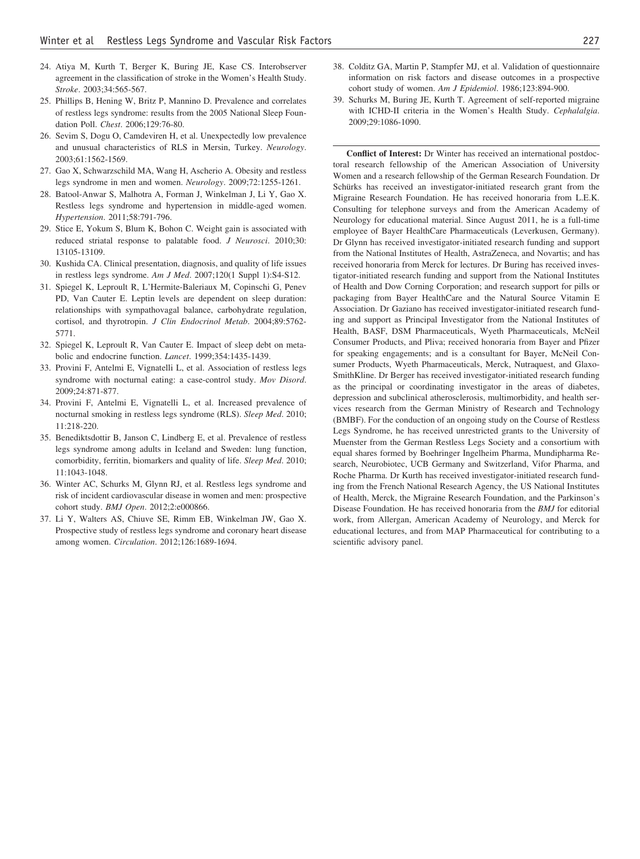- <span id="page-7-0"></span>24. Atiya M, Kurth T, Berger K, Buring JE, Kase CS. Interobserver agreement in the classification of stroke in the Women's Health Study. *Stroke*. 2003;34:565-567.
- 25. Phillips B, Hening W, Britz P, Mannino D. Prevalence and correlates of restless legs syndrome: results from the 2005 National Sleep Foundation Poll. *Chest*. 2006;129:76-80.
- 26. Sevim S, Dogu O, Camdeviren H, et al. Unexpectedly low prevalence and unusual characteristics of RLS in Mersin, Turkey. *Neurology*. 2003;61:1562-1569.
- <span id="page-7-1"></span>27. Gao X, Schwarzschild MA, Wang H, Ascherio A. Obesity and restless legs syndrome in men and women. *Neurology*. 2009;72:1255-1261.
- 28. Batool-Anwar S, Malhotra A, Forman J, Winkelman J, Li Y, Gao X. Restless legs syndrome and hypertension in middle-aged women. *Hypertension*. 2011;58:791-796.
- 29. Stice E, Yokum S, Blum K, Bohon C. Weight gain is associated with reduced striatal response to palatable food. *J Neurosci*. 2010;30: 13105-13109.
- <span id="page-7-3"></span><span id="page-7-2"></span>30. Kushida CA. Clinical presentation, diagnosis, and quality of life issues in restless legs syndrome. *Am J Med*. 2007;120(1 Suppl 1):S4-S12.
- 31. Spiegel K, Leproult R, L'Hermite-Baleriaux M, Copinschi G, Penev PD, Van Cauter E. Leptin levels are dependent on sleep duration: relationships with sympathovagal balance, carbohydrate regulation, cortisol, and thyrotropin. *J Clin Endocrinol Metab*. 2004;89:5762- 5771.
- <span id="page-7-4"></span>32. Spiegel K, Leproult R, Van Cauter E. Impact of sleep debt on metabolic and endocrine function. *Lancet*. 1999;354:1435-1439.
- 33. Provini F, Antelmi E, Vignatelli L, et al. Association of restless legs syndrome with nocturnal eating: a case-control study. *Mov Disord*. 2009;24:871-877.
- 34. Provini F, Antelmi E, Vignatelli L, et al. Increased prevalence of nocturnal smoking in restless legs syndrome (RLS). *Sleep Med*. 2010; 11:218-220.
- <span id="page-7-5"></span>35. Benediktsdottir B, Janson C, Lindberg E, et al. Prevalence of restless legs syndrome among adults in Iceland and Sweden: lung function, comorbidity, ferritin, biomarkers and quality of life. *Sleep Med*. 2010; 11:1043-1048.
- <span id="page-7-6"></span>36. Winter AC, Schurks M, Glynn RJ, et al. Restless legs syndrome and risk of incident cardiovascular disease in women and men: prospective cohort study. *BMJ Open*. 2012;2:e000866.
- <span id="page-7-7"></span>37. Li Y, Walters AS, Chiuve SE, Rimm EB, Winkelman JW, Gao X. Prospective study of restless legs syndrome and coronary heart disease among women. *Circulation*. 2012;126:1689-1694.
- <span id="page-7-8"></span>38. Colditz GA, Martin P, Stampfer MJ, et al. Validation of questionnaire information on risk factors and disease outcomes in a prospective cohort study of women. *Am J Epidemiol*. 1986;123:894-900.
- 39. Schurks M, Buring JE, Kurth T. Agreement of self-reported migraine with ICHD-II criteria in the Women's Health Study. *Cephalalgia*. 2009;29:1086-1090.

**Conflict of Interest:** Dr Winter has received an international postdoctoral research fellowship of the American Association of University Women and a research fellowship of the German Research Foundation. Dr Schürks has received an investigator-initiated research grant from the Migraine Research Foundation. He has received honoraria from L.E.K. Consulting for telephone surveys and from the American Academy of Neurology for educational material. Since August 2011, he is a full-time employee of Bayer HealthCare Pharmaceuticals (Leverkusen, Germany). Dr Glynn has received investigator-initiated research funding and support from the National Institutes of Health, AstraZeneca, and Novartis; and has received honoraria from Merck for lectures. Dr Buring has received investigator-initiated research funding and support from the National Institutes of Health and Dow Corning Corporation; and research support for pills or packaging from Bayer HealthCare and the Natural Source Vitamin E Association. Dr Gaziano has received investigator-initiated research funding and support as Principal Investigator from the National Institutes of Health, BASF, DSM Pharmaceuticals, Wyeth Pharmaceuticals, McNeil Consumer Products, and Pliva; received honoraria from Bayer and Pfizer for speaking engagements; and is a consultant for Bayer, McNeil Consumer Products, Wyeth Pharmaceuticals, Merck, Nutraquest, and Glaxo-SmithKline. Dr Berger has received investigator-initiated research funding as the principal or coordinating investigator in the areas of diabetes, depression and subclinical atherosclerosis, multimorbidity, and health services research from the German Ministry of Research and Technology (BMBF). For the conduction of an ongoing study on the Course of Restless Legs Syndrome, he has received unrestricted grants to the University of Muenster from the German Restless Legs Society and a consortium with equal shares formed by Boehringer Ingelheim Pharma, Mundipharma Research, Neurobiotec, UCB Germany and Switzerland, Vifor Pharma, and Roche Pharma. Dr Kurth has received investigator-initiated research funding from the French National Research Agency, the US National Institutes of Health, Merck, the Migraine Research Foundation, and the Parkinson's Disease Foundation. He has received honoraria from the *BMJ* for editorial work, from Allergan, American Academy of Neurology, and Merck for educational lectures, and from MAP Pharmaceutical for contributing to a scientific advisory panel.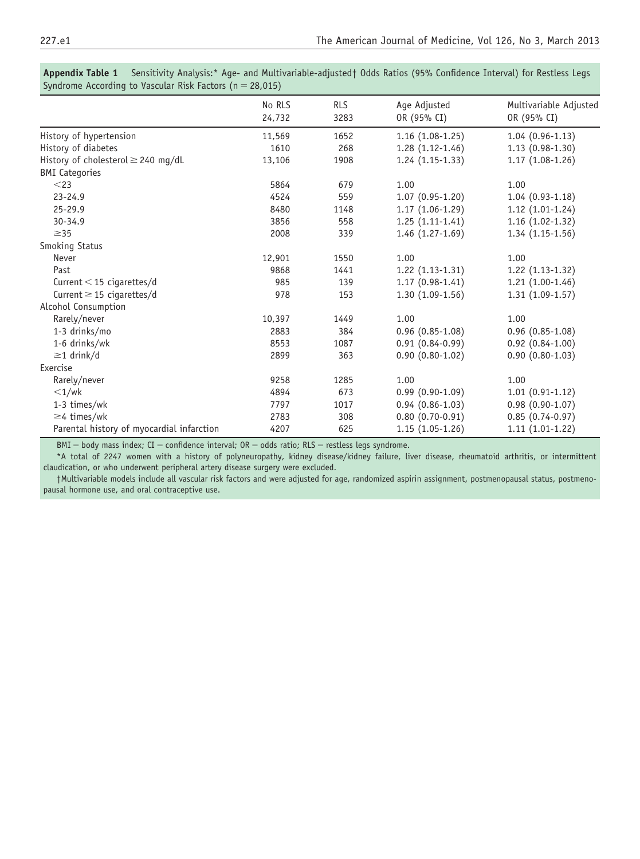| No RLS<br>24,732 | <b>RLS</b><br>3283 | Age Adjusted<br>OR (95% CI) | Multivariable Adjusted<br>OR (95% CI) |
|------------------|--------------------|-----------------------------|---------------------------------------|
| 11,569           | 1652               | $1.16(1.08-1.25)$           | $1.04(0.96-1.13)$                     |
| 1610             | 268                | $1.28(1.12-1.46)$           | $1.13(0.98-1.30)$                     |
| 13,106           | 1908               | $1.24(1.15-1.33)$           | $1.17(1.08-1.26)$                     |
|                  |                    |                             |                                       |
| 5864             | 679                | 1.00                        | 1.00                                  |
| 4524             | 559                | $1.07(0.95-1.20)$           | $1.04(0.93-1.18)$                     |
| 8480             | 1148               | $1.17(1.06-1.29)$           | $1.12(1.01-1.24)$                     |
| 3856             | 558                | $1.25(1.11-1.41)$           | $1.16(1.02-1.32)$                     |
| 2008             | 339                | $1.46(1.27-1.69)$           | $1.34(1.15-1.56)$                     |
|                  |                    |                             |                                       |
| 12,901           | 1550               | 1.00                        | 1.00                                  |
| 9868             | 1441               | $1.22(1.13-1.31)$           | $1.22(1.13-1.32)$                     |
| 985              | 139                | $1.17(0.98-1.41)$           | $1.21(1.00-1.46)$                     |
| 978              | 153                | $1.30(1.09-1.56)$           | $1.31(1.09-1.57)$                     |
|                  |                    |                             |                                       |
| 10,397           | 1449               | 1.00                        | 1.00                                  |
| 2883             | 384                | $0.96(0.85-1.08)$           | $0.96(0.85-1.08)$                     |
| 8553             | 1087               | $0.91(0.84-0.99)$           | $0.92(0.84-1.00)$                     |
| 2899             | 363                | $0.90(0.80-1.02)$           | $0.90(0.80-1.03)$                     |
|                  |                    |                             |                                       |
| 9258             | 1285               | 1.00                        | 1.00                                  |
| 4894             | 673                | $0.99(0.90-1.09)$           | $1.01(0.91-1.12)$                     |
| 7797             | 1017               | $0.94(0.86-1.03)$           | $0.98(0.90-1.07)$                     |
| 2783             | 308                | $0.80(0.70-0.91)$           | $0.85(0.74-0.97)$                     |
| 4207             | 625                | $1.15(1.05-1.26)$           | $1.11(1.01-1.22)$                     |
|                  | $\frac{1}{2}$      |                             |                                       |

<span id="page-8-0"></span>**Appendix Table 1** Sensitivity Analysis:\* Age- and Multivariable-adjusted† Odds Ratios (95% Confidence Interval) for Restless Legs Syndrome According to Vascular Risk Factors  $(n = 28,015)$ 

 $BMI = body$  mass index;  $CI = confidence$  interval;  $OR = odds$  ratio;  $RLS = restless$  legs syndrome.

\*A total of 2247 women with a history of polyneuropathy, kidney disease/kidney failure, liver disease, rheumatoid arthritis, or intermittent claudication, or who underwent peripheral artery disease surgery were excluded.

†Multivariable models include all vascular risk factors and were adjusted for age, randomized aspirin assignment, postmenopausal status, postmenopausal hormone use, and oral contraceptive use.